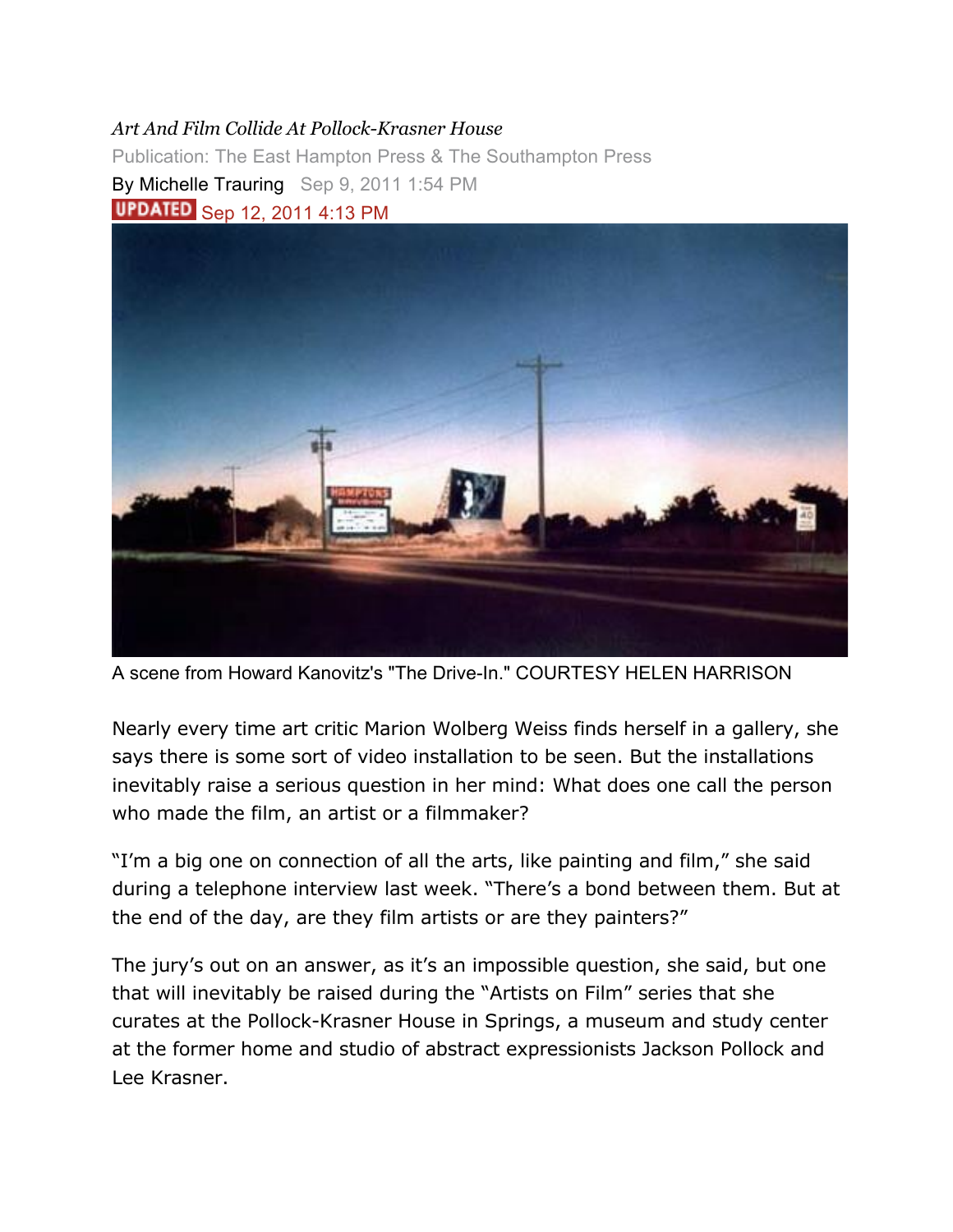## *Art And Film Collide At Pollock-Krasner House*

Publication: The East Hampton Press & The Southampton Press By Michelle Trauring Sep 9, 2011 1:54 PM **UPDATED** Sep 12, 2011 4:13 PM



A scene from Howard Kanovitz's "The Drive-In." COURTESY HELEN HARRISON

Nearly every time art critic Marion Wolberg Weiss finds herself in a gallery, she says there is some sort of video installation to be seen. But the installations inevitably raise a serious question in her mind: What does one call the person who made the film, an artist or a filmmaker?

"I'm a big one on connection of all the arts, like painting and film," she said during a telephone interview last week. "There's a bond between them. But at the end of the day, are they film artists or are they painters?"

The jury's out on an answer, as it's an impossible question, she said, but one that will inevitably be raised during the "Artists on Film" series that she curates at the Pollock-Krasner House in Springs, a museum and study center at the former home and studio of abstract expressionists Jackson Pollock and Lee Krasner.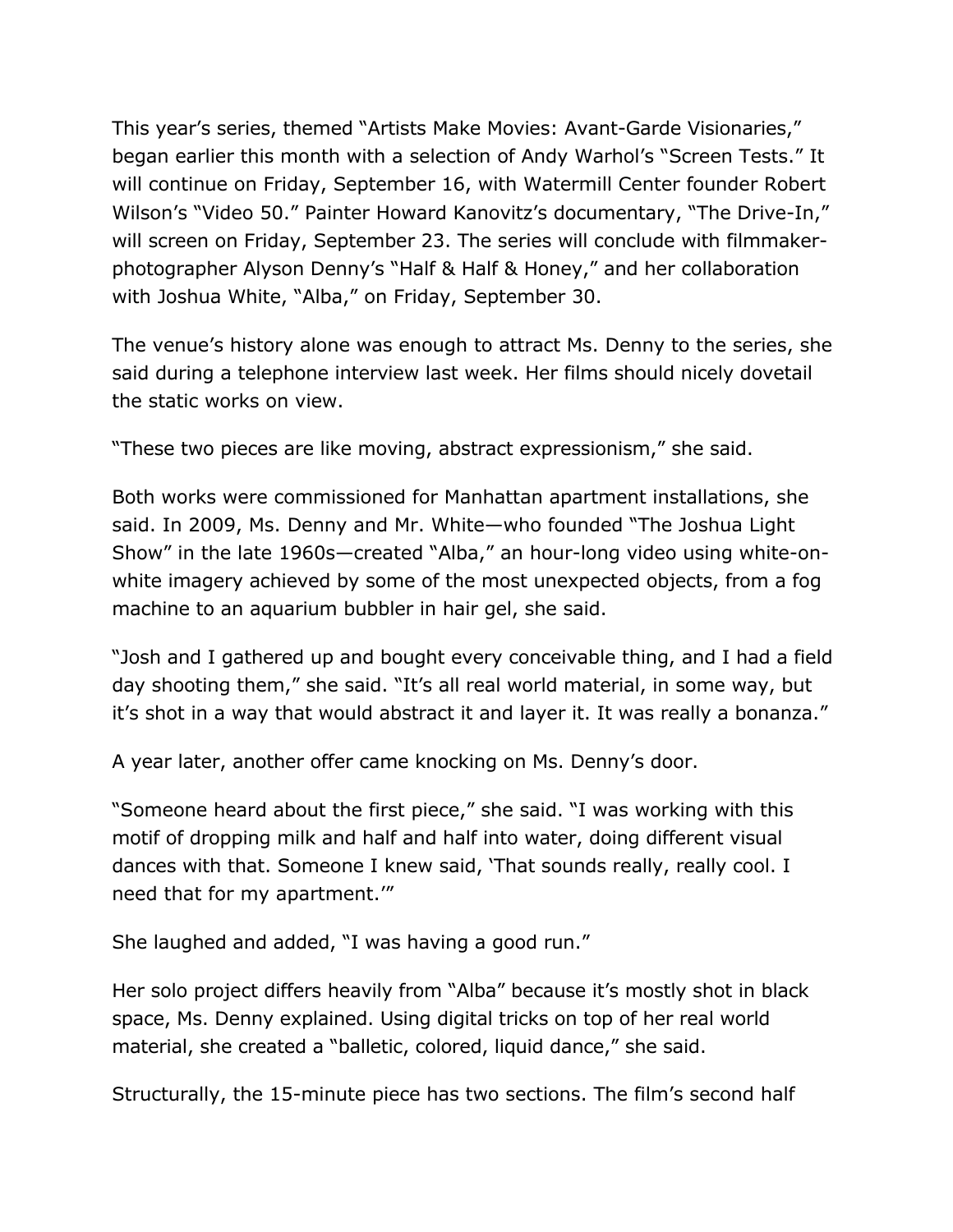This year's series, themed "Artists Make Movies: Avant-Garde Visionaries," began earlier this month with a selection of Andy Warhol's "Screen Tests." It will continue on Friday, September 16, with Watermill Center founder Robert Wilson's "Video 50." Painter Howard Kanovitz's documentary, "The Drive-In," will screen on Friday, September 23. The series will conclude with filmmakerphotographer Alyson Denny's "Half & Half & Honey," and her collaboration with Joshua White, "Alba," on Friday, September 30.

The venue's history alone was enough to attract Ms. Denny to the series, she said during a telephone interview last week. Her films should nicely dovetail the static works on view.

"These two pieces are like moving, abstract expressionism," she said.

Both works were commissioned for Manhattan apartment installations, she said. In 2009, Ms. Denny and Mr. White—who founded "The Joshua Light Show" in the late 1960s—created "Alba," an hour-long video using white-onwhite imagery achieved by some of the most unexpected objects, from a fog machine to an aquarium bubbler in hair gel, she said.

"Josh and I gathered up and bought every conceivable thing, and I had a field day shooting them," she said. "It's all real world material, in some way, but it's shot in a way that would abstract it and layer it. It was really a bonanza."

A year later, another offer came knocking on Ms. Denny's door.

"Someone heard about the first piece," she said. "I was working with this motif of dropping milk and half and half into water, doing different visual dances with that. Someone I knew said, 'That sounds really, really cool. I need that for my apartment.'"

She laughed and added, "I was having a good run."

Her solo project differs heavily from "Alba" because it's mostly shot in black space, Ms. Denny explained. Using digital tricks on top of her real world material, she created a "balletic, colored, liquid dance," she said.

Structurally, the 15-minute piece has two sections. The film's second half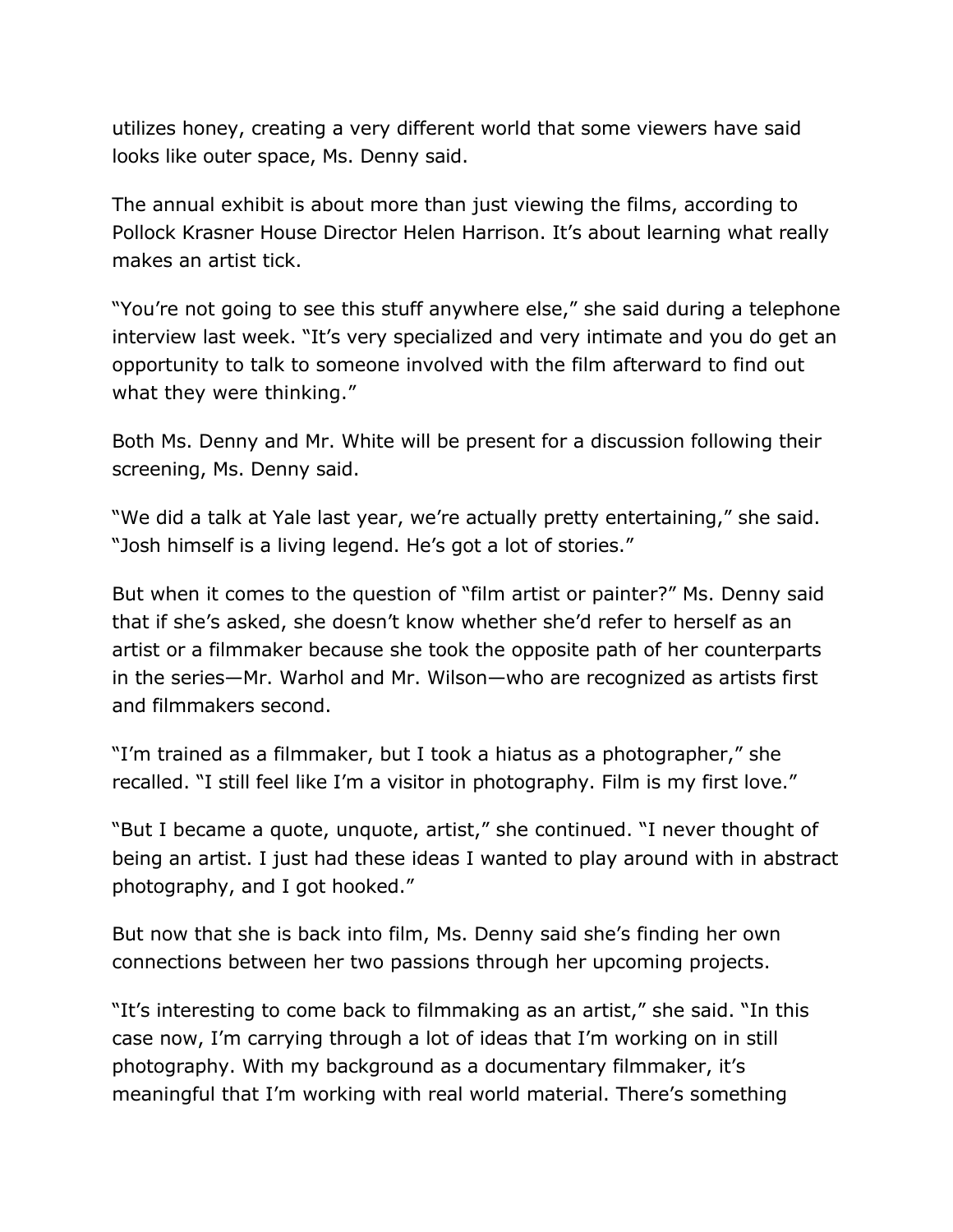utilizes honey, creating a very different world that some viewers have said looks like outer space, Ms. Denny said.

The annual exhibit is about more than just viewing the films, according to Pollock Krasner House Director Helen Harrison. It's about learning what really makes an artist tick.

"You're not going to see this stuff anywhere else," she said during a telephone interview last week. "It's very specialized and very intimate and you do get an opportunity to talk to someone involved with the film afterward to find out what they were thinking."

Both Ms. Denny and Mr. White will be present for a discussion following their screening, Ms. Denny said.

"We did a talk at Yale last year, we're actually pretty entertaining," she said. "Josh himself is a living legend. He's got a lot of stories."

But when it comes to the question of "film artist or painter?" Ms. Denny said that if she's asked, she doesn't know whether she'd refer to herself as an artist or a filmmaker because she took the opposite path of her counterparts in the series—Mr. Warhol and Mr. Wilson—who are recognized as artists first and filmmakers second.

"I'm trained as a filmmaker, but I took a hiatus as a photographer," she recalled. "I still feel like I'm a visitor in photography. Film is my first love."

"But I became a quote, unquote, artist," she continued. "I never thought of being an artist. I just had these ideas I wanted to play around with in abstract photography, and I got hooked."

But now that she is back into film, Ms. Denny said she's finding her own connections between her two passions through her upcoming projects.

"It's interesting to come back to filmmaking as an artist," she said. "In this case now, I'm carrying through a lot of ideas that I'm working on in still photography. With my background as a documentary filmmaker, it's meaningful that I'm working with real world material. There's something